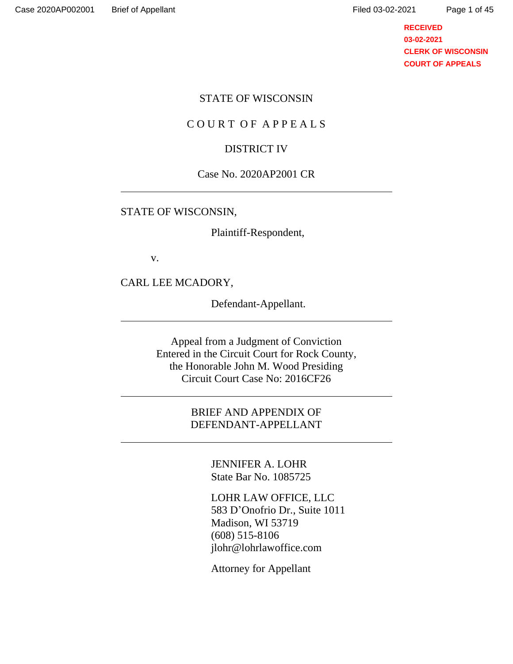## **RECEIVED 03-02-2021 CLERK OF WISCONSIN COURT OF APPEALS**

#### STATE OF WISCONSIN

#### C O U R T O F A P P E A L S

#### DISTRICT IV

#### Case No. 2020AP2001 CR

#### STATE OF WISCONSIN,

Plaintiff-Respondent,

v.

CARL LEE MCADORY,

Defendant-Appellant.

Appeal from a Judgment of Conviction Entered in the Circuit Court for Rock County, the Honorable John M. Wood Presiding Circuit Court Case No: 2016CF26

> BRIEF AND APPENDIX OF DEFENDANT-APPELLANT

> > JENNIFER A. LOHR State Bar No. 1085725

LOHR LAW OFFICE, LLC 583 D'Onofrio Dr., Suite 1011 Madison, WI 53719 (608) 515-8106 jlohr@lohrlawoffice.com

Attorney for Appellant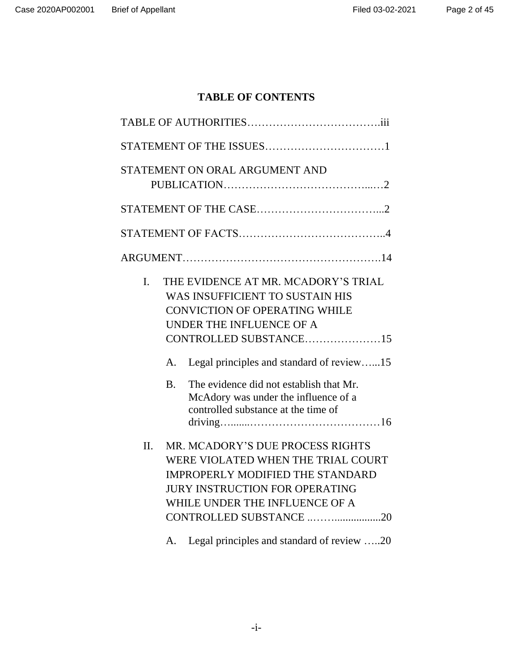# **TABLE OF CONTENTS**

|     |                | STATEMENT ON ORAL ARGUMENT AND                                                                                                                                                                                                                                        |  |  |
|-----|----------------|-----------------------------------------------------------------------------------------------------------------------------------------------------------------------------------------------------------------------------------------------------------------------|--|--|
|     |                |                                                                                                                                                                                                                                                                       |  |  |
|     |                |                                                                                                                                                                                                                                                                       |  |  |
|     |                |                                                                                                                                                                                                                                                                       |  |  |
| I.  |                | THE EVIDENCE AT MR. MCADORY'S TRIAL<br>WAS INSUFFICIENT TO SUSTAIN HIS<br><b>CONVICTION OF OPERATING WHILE</b><br>UNDER THE INFLUENCE OF A<br>CONTROLLED SUBSTANCE15                                                                                                  |  |  |
|     | A.             | Legal principles and standard of review15                                                                                                                                                                                                                             |  |  |
|     | <b>B.</b>      | The evidence did not establish that Mr.<br>McAdory was under the influence of a<br>controlled substance at the time of                                                                                                                                                |  |  |
| II. | $\mathsf{A}$ . | MR. MCADORY'S DUE PROCESS RIGHTS<br>WERE VIOLATED WHEN THE TRIAL COURT<br><b>IMPROPERLY MODIFIED THE STANDARD</b><br><b>JURY INSTRUCTION FOR OPERATING</b><br>WHILE UNDER THE INFLUENCE OF A<br>CONTROLLED SUBSTANCE 20<br>Legal principles and standard of review 20 |  |  |
|     |                |                                                                                                                                                                                                                                                                       |  |  |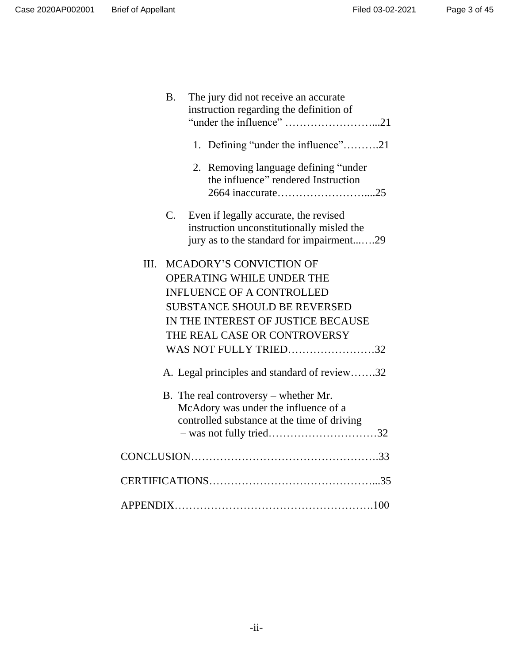|      | <b>B.</b> | The jury did not receive an accurate<br>instruction regarding the definition of                                                |  |
|------|-----------|--------------------------------------------------------------------------------------------------------------------------------|--|
|      |           | 1. Defining "under the influence"21                                                                                            |  |
|      |           | Removing language defining "under<br>2.<br>the influence" rendered Instruction                                                 |  |
|      | C.        | Even if legally accurate, the revised<br>instruction unconstitutionally misled the<br>jury as to the standard for impairment29 |  |
| III. |           | <b>MCADORY'S CONVICTION OF</b>                                                                                                 |  |
|      |           | OPERATING WHILE UNDER THE                                                                                                      |  |
|      |           | <b>INFLUENCE OF A CONTROLLED</b>                                                                                               |  |
|      |           | <b>SUBSTANCE SHOULD BE REVERSED</b>                                                                                            |  |
|      |           | IN THE INTEREST OF JUSTICE BECAUSE                                                                                             |  |
|      |           | THE REAL CASE OR CONTROVERSY                                                                                                   |  |
|      |           | WAS NOT FULLY TRIED32                                                                                                          |  |
|      |           |                                                                                                                                |  |
|      |           | A. Legal principles and standard of review32                                                                                   |  |
|      |           | B. The real controversy – whether Mr.                                                                                          |  |
|      |           | McAdory was under the influence of a                                                                                           |  |
|      |           | controlled substance at the time of driving                                                                                    |  |
|      |           | - was not fully tried32                                                                                                        |  |
|      |           |                                                                                                                                |  |
|      |           |                                                                                                                                |  |
|      |           |                                                                                                                                |  |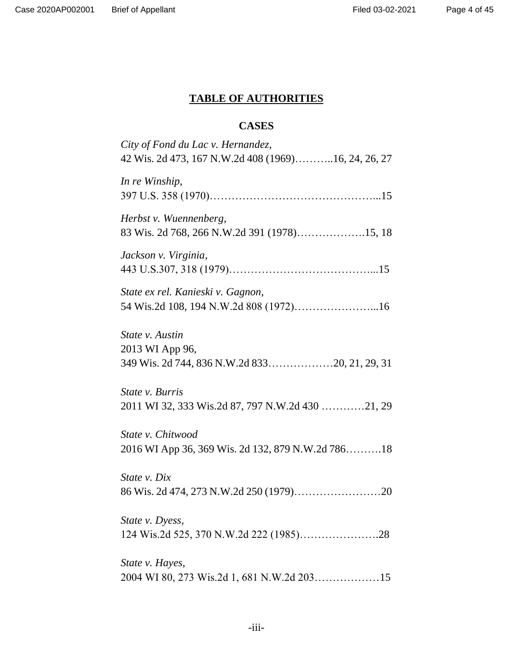# **TABLE OF AUTHORITIES**

# **CASES**

| City of Fond du Lac v. Hernandez,                   |
|-----------------------------------------------------|
| 42 Wis. 2d 473, 167 N.W.2d 408 (1969)16, 24, 26, 27 |
| In re Winship,                                      |
|                                                     |
| Herbst v. Wuennenberg,                              |
| 83 Wis. 2d 768, 266 N.W.2d 391 (1978)15, 18         |
| Jackson v. Virginia,                                |
|                                                     |
| State ex rel. Kanieski v. Gagnon,                   |
|                                                     |
| State v. Austin                                     |
| 2013 WI App 96,                                     |
| 349 Wis. 2d 744, 836 N.W.2d 83320, 21, 29, 31       |
| <i>State v. Burris</i>                              |
| 2011 WI 32, 333 Wis.2d 87, 797 N.W.2d 430 21, 29    |
| State v. Chitwood                                   |
| 2016 WI App 36, 369 Wis. 2d 132, 879 N.W.2d 78618   |
| State v. Dix                                        |
|                                                     |
| State v. Dyess,                                     |
|                                                     |
| State v. Hayes,                                     |
|                                                     |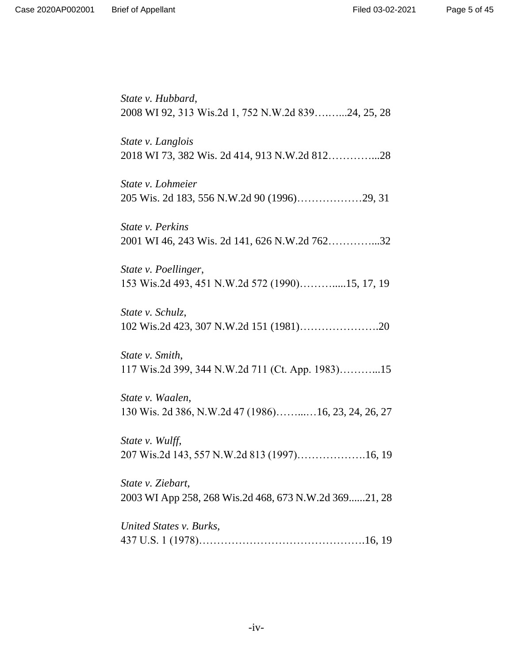*State v. Hubbard*, 2008 WI 92, 313 Wis.2d 1, 752 N.W.2d 839….…...24, 25, 28 *State v. Langlois* 2018 WI 73, 382 Wis. 2d 414, 913 N.W.2d 812…………...28 *State v. Lohmeier* 205 Wis. 2d 183, 556 N.W.2d 90 (1996)………………29, 31 *State v. Perkins* 2001 WI 46, 243 Wis. 2d 141, 626 N.W.2d 762…………...32 *State v. Poellinger*, 153 Wis.2d 493, 451 N.W.2d 572 (1990)……….....15, 17, 19 *State v. Schulz*, 102 Wis.2d 423, 307 N.W.2d 151 (1981)………………….20 *State v. Smith*, 117 Wis.2d 399, 344 N.W.2d 711 (Ct. App. 1983)………...15 *State v. Waalen*, 130 Wis. 2d 386, N.W.2d 47 (1986)……...…16, 23, 24, 26, 27 *State v. Wulff*, 207 Wis.2d 143, 557 N.W.2d 813 (1997)……………….16, 19 *State v. Ziebart*, 2003 WI App 258, 268 Wis.2d 468, 673 N.W.2d 369......21, 28 *United States v. Burks*, 437 U.S. 1 (1978)……………………………………….16, 19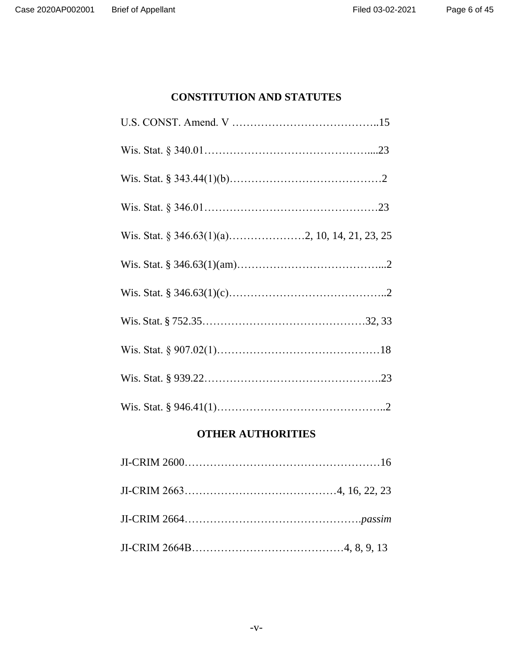# **CONSTITUTION AND STATUTES**

# **OTHER AUTHORITIES**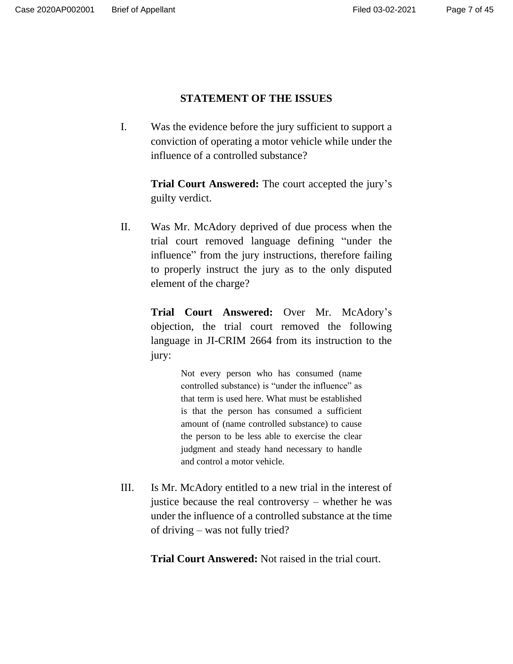# **STATEMENT OF THE ISSUES**

I. Was the evidence before the jury sufficient to support a conviction of operating a motor vehicle while under the influence of a controlled substance?

> **Trial Court Answered:** The court accepted the jury's guilty verdict.

II. Was Mr. McAdory deprived of due process when the trial court removed language defining "under the influence" from the jury instructions, therefore failing to properly instruct the jury as to the only disputed element of the charge?

> **Trial Court Answered:** Over Mr. McAdory's objection, the trial court removed the following language in JI-CRIM 2664 from its instruction to the jury:

> > Not every person who has consumed (name controlled substance) is "under the influence" as that term is used here. What must be established is that the person has consumed a sufficient amount of (name controlled substance) to cause the person to be less able to exercise the clear judgment and steady hand necessary to handle and control a motor vehicle.

III. Is Mr. McAdory entitled to a new trial in the interest of justice because the real controversy – whether he was under the influence of a controlled substance at the time of driving – was not fully tried?

**Trial Court Answered:** Not raised in the trial court.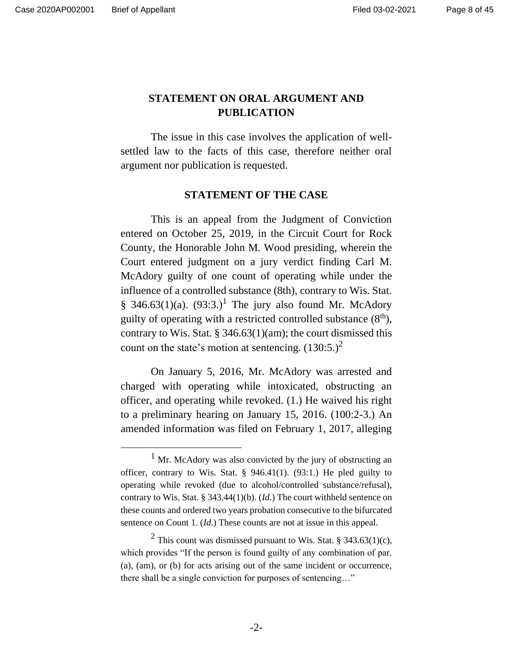# **STATEMENT ON ORAL ARGUMENT AND PUBLICATION**

The issue in this case involves the application of wellsettled law to the facts of this case, therefore neither oral argument nor publication is requested.

#### **STATEMENT OF THE CASE**

This is an appeal from the Judgment of Conviction entered on October 25, 2019, in the Circuit Court for Rock County, the Honorable John M. Wood presiding, wherein the Court entered judgment on a jury verdict finding Carl M. McAdory guilty of one count of operating while under the influence of a controlled substance (8th), contrary to Wis. Stat. § 346.63(1)(a).  $(93:3.)^1$  The jury also found Mr. McAdory guilty of operating with a restricted controlled substance  $(8<sup>th</sup>)$ , contrary to Wis. Stat. § 346.63(1)(am); the court dismissed this count on the state's motion at sentencing.  $(130:5)^2$ 

On January 5, 2016, Mr. McAdory was arrested and charged with operating while intoxicated, obstructing an officer, and operating while revoked. (1.) He waived his right to a preliminary hearing on January 15, 2016. (100:2-3.) An amended information was filed on February 1, 2017, alleging

 $1$  Mr. McAdory was also convicted by the jury of obstructing an officer, contrary to Wis. Stat.  $\S$  946.41(1). (93:1.) He pled guilty to operating while revoked (due to alcohol/controlled substance/refusal), contrary to Wis. Stat. § 343.44(1)(b). (*Id*.) The court withheld sentence on these counts and ordered two years probation consecutive to the bifurcated sentence on Count 1. (*Id.*) These counts are not at issue in this appeal.

<sup>&</sup>lt;sup>2</sup> This count was dismissed pursuant to Wis. Stat. § 343.63(1)(c), which provides "If the person is found guilty of any combination of par. (a), (am), or (b) for acts arising out of the same incident or occurrence, there shall be a single conviction for purposes of sentencing…"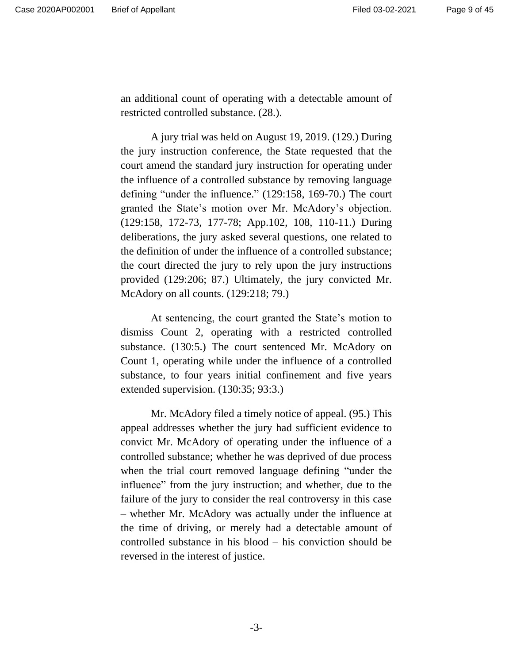an additional count of operating with a detectable amount of restricted controlled substance. (28.).

A jury trial was held on August 19, 2019. (129.) During the jury instruction conference, the State requested that the court amend the standard jury instruction for operating under the influence of a controlled substance by removing language defining "under the influence." (129:158, 169-70.) The court granted the State's motion over Mr. McAdory's objection. (129:158, 172-73, 177-78; App.102, 108, 110-11.) During deliberations, the jury asked several questions, one related to the definition of under the influence of a controlled substance; the court directed the jury to rely upon the jury instructions provided (129:206; 87.) Ultimately, the jury convicted Mr. McAdory on all counts. (129:218; 79.)

At sentencing, the court granted the State's motion to dismiss Count 2, operating with a restricted controlled substance. (130:5.) The court sentenced Mr. McAdory on Count 1, operating while under the influence of a controlled substance, to four years initial confinement and five years extended supervision. (130:35; 93:3.)

Mr. McAdory filed a timely notice of appeal. (95.) This appeal addresses whether the jury had sufficient evidence to convict Mr. McAdory of operating under the influence of a controlled substance; whether he was deprived of due process when the trial court removed language defining "under the influence" from the jury instruction; and whether, due to the failure of the jury to consider the real controversy in this case – whether Mr. McAdory was actually under the influence at the time of driving, or merely had a detectable amount of controlled substance in his blood – his conviction should be reversed in the interest of justice.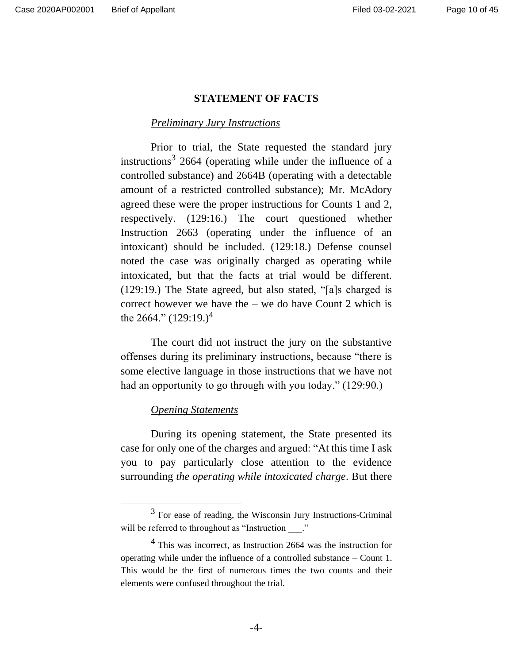#### **STATEMENT OF FACTS**

#### *Preliminary Jury Instructions*

Prior to trial, the State requested the standard jury instructions<sup>3</sup> 2664 (operating while under the influence of a controlled substance) and 2664B (operating with a detectable amount of a restricted controlled substance); Mr. McAdory agreed these were the proper instructions for Counts 1 and 2, respectively. (129:16.) The court questioned whether Instruction 2663 (operating under the influence of an intoxicant) should be included. (129:18.) Defense counsel noted the case was originally charged as operating while intoxicated, but that the facts at trial would be different. (129:19.) The State agreed, but also stated, "[a]s charged is correct however we have the  $-$  we do have Count 2 which is the 2664." (129:19.)<sup>4</sup>

The court did not instruct the jury on the substantive offenses during its preliminary instructions, because "there is some elective language in those instructions that we have not had an opportunity to go through with you today." (129:90.)

#### *Opening Statements*

During its opening statement, the State presented its case for only one of the charges and argued: "At this time I ask you to pay particularly close attention to the evidence surrounding *the operating while intoxicated charge*. But there

<sup>&</sup>lt;sup>3</sup> For ease of reading, the Wisconsin Jury Instructions-Criminal will be referred to throughout as "Instruction".

<sup>4</sup> This was incorrect, as Instruction 2664 was the instruction for operating while under the influence of a controlled substance – Count 1. This would be the first of numerous times the two counts and their elements were confused throughout the trial.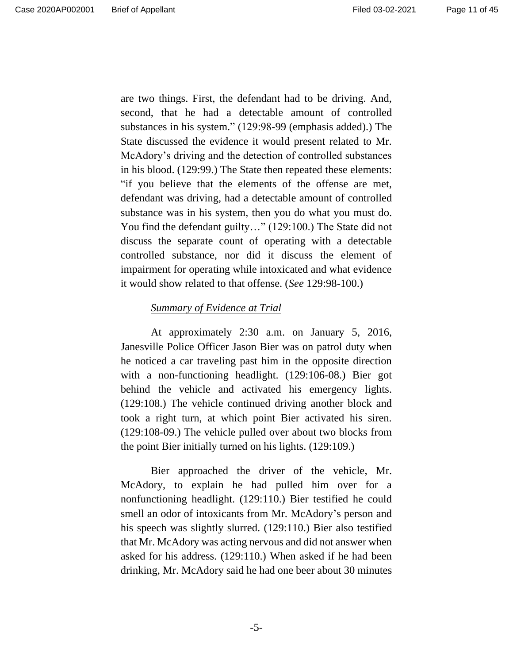are two things. First, the defendant had to be driving. And, second, that he had a detectable amount of controlled substances in his system." (129:98-99 (emphasis added).) The State discussed the evidence it would present related to Mr. McAdory's driving and the detection of controlled substances in his blood. (129:99.) The State then repeated these elements: "if you believe that the elements of the offense are met, defendant was driving, had a detectable amount of controlled substance was in his system, then you do what you must do. You find the defendant guilty…" (129:100.) The State did not discuss the separate count of operating with a detectable controlled substance, nor did it discuss the element of impairment for operating while intoxicated and what evidence it would show related to that offense. (*See* 129:98-100.)

## *Summary of Evidence at Trial*

At approximately 2:30 a.m. on January 5, 2016, Janesville Police Officer Jason Bier was on patrol duty when he noticed a car traveling past him in the opposite direction with a non-functioning headlight. (129:106-08.) Bier got behind the vehicle and activated his emergency lights. (129:108.) The vehicle continued driving another block and took a right turn, at which point Bier activated his siren. (129:108-09.) The vehicle pulled over about two blocks from the point Bier initially turned on his lights. (129:109.)

Bier approached the driver of the vehicle, Mr. McAdory, to explain he had pulled him over for a nonfunctioning headlight. (129:110.) Bier testified he could smell an odor of intoxicants from Mr. McAdory's person and his speech was slightly slurred. (129:110.) Bier also testified that Mr. McAdory was acting nervous and did not answer when asked for his address. (129:110.) When asked if he had been drinking, Mr. McAdory said he had one beer about 30 minutes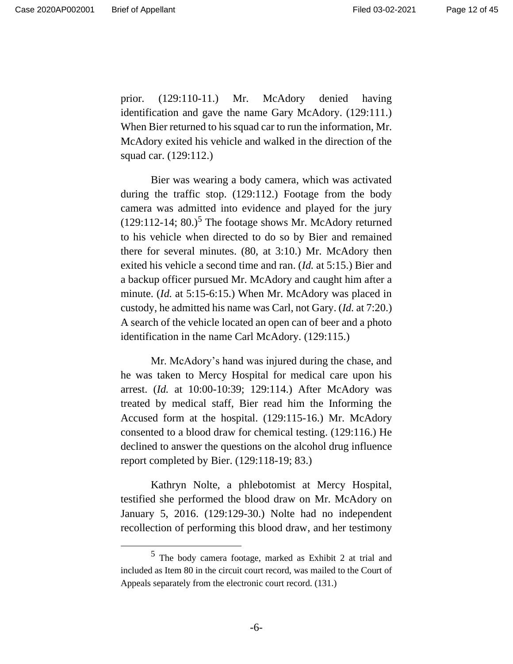prior. (129:110-11.) Mr. McAdory denied having identification and gave the name Gary McAdory. (129:111.) When Bier returned to his squad car to run the information, Mr. McAdory exited his vehicle and walked in the direction of the squad car. (129:112.)

Bier was wearing a body camera, which was activated during the traffic stop. (129:112.) Footage from the body camera was admitted into evidence and played for the jury  $(129:112-14; 80.)$ <sup>5</sup> The footage shows Mr. McAdory returned to his vehicle when directed to do so by Bier and remained there for several minutes. (80, at 3:10.) Mr. McAdory then exited his vehicle a second time and ran. (*Id.* at 5:15.) Bier and a backup officer pursued Mr. McAdory and caught him after a minute. (*Id.* at 5:15-6:15.) When Mr. McAdory was placed in custody, he admitted his name was Carl, not Gary. (*Id.* at 7:20.) A search of the vehicle located an open can of beer and a photo identification in the name Carl McAdory. (129:115.)

Mr. McAdory's hand was injured during the chase, and he was taken to Mercy Hospital for medical care upon his arrest. (*Id.* at 10:00-10:39; 129:114.) After McAdory was treated by medical staff, Bier read him the Informing the Accused form at the hospital. (129:115-16.) Mr. McAdory consented to a blood draw for chemical testing. (129:116.) He declined to answer the questions on the alcohol drug influence report completed by Bier. (129:118-19; 83.)

Kathryn Nolte, a phlebotomist at Mercy Hospital, testified she performed the blood draw on Mr. McAdory on January 5, 2016. (129:129-30.) Nolte had no independent recollection of performing this blood draw, and her testimony

<sup>5</sup> The body camera footage, marked as Exhibit 2 at trial and included as Item 80 in the circuit court record, was mailed to the Court of Appeals separately from the electronic court record. (131.)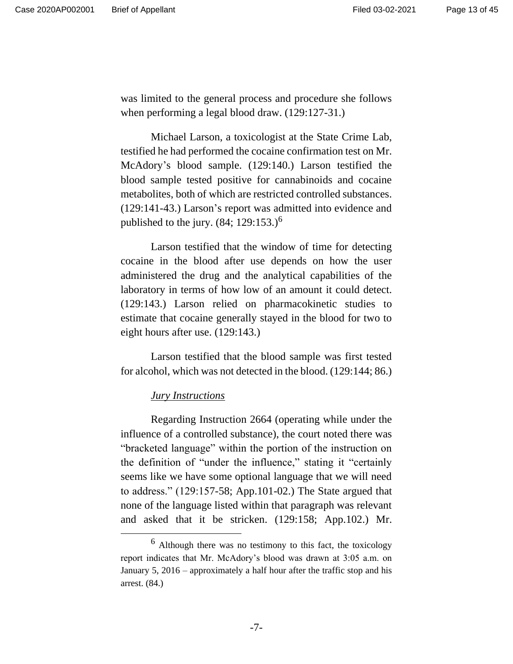was limited to the general process and procedure she follows when performing a legal blood draw. (129:127-31.)

Michael Larson, a toxicologist at the State Crime Lab, testified he had performed the cocaine confirmation test on Mr. McAdory's blood sample. (129:140.) Larson testified the blood sample tested positive for cannabinoids and cocaine metabolites, both of which are restricted controlled substances. (129:141-43.) Larson's report was admitted into evidence and published to the jury.  $(84; 129:153.)^6$ 

Larson testified that the window of time for detecting cocaine in the blood after use depends on how the user administered the drug and the analytical capabilities of the laboratory in terms of how low of an amount it could detect. (129:143.) Larson relied on pharmacokinetic studies to estimate that cocaine generally stayed in the blood for two to eight hours after use. (129:143.)

Larson testified that the blood sample was first tested for alcohol, which was not detected in the blood. (129:144; 86.)

#### *Jury Instructions*

Regarding Instruction 2664 (operating while under the influence of a controlled substance), the court noted there was "bracketed language" within the portion of the instruction on the definition of "under the influence," stating it "certainly seems like we have some optional language that we will need to address." (129:157-58; App.101-02.) The State argued that none of the language listed within that paragraph was relevant and asked that it be stricken. (129:158; App.102.) Mr.

<sup>6</sup> Although there was no testimony to this fact, the toxicology report indicates that Mr. McAdory's blood was drawn at 3:05 a.m. on January 5, 2016 – approximately a half hour after the traffic stop and his arrest. (84.)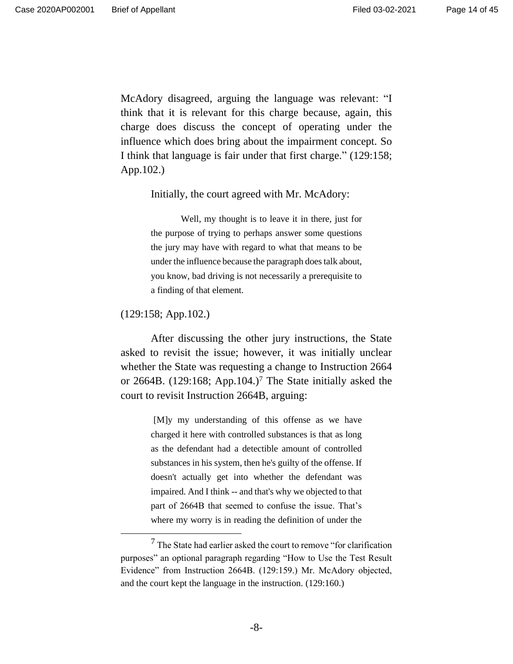McAdory disagreed, arguing the language was relevant: "I think that it is relevant for this charge because, again, this charge does discuss the concept of operating under the influence which does bring about the impairment concept. So I think that language is fair under that first charge." (129:158; App.102.)

Initially, the court agreed with Mr. McAdory:

Well, my thought is to leave it in there, just for the purpose of trying to perhaps answer some questions the jury may have with regard to what that means to be under the influence because the paragraph does talk about, you know, bad driving is not necessarily a prerequisite to a finding of that element.

(129:158; App.102.)

After discussing the other jury instructions, the State asked to revisit the issue; however, it was initially unclear whether the State was requesting a change to Instruction 2664 or 2664B. (129:168; App.104.)<sup>7</sup> The State initially asked the court to revisit Instruction 2664B, arguing:

> [M]y my understanding of this offense as we have charged it here with controlled substances is that as long as the defendant had a detectible amount of controlled substances in his system, then he's guilty of the offense. If doesn't actually get into whether the defendant was impaired. And I think -- and that's why we objected to that part of 2664B that seemed to confuse the issue. That's where my worry is in reading the definition of under the

<sup>7</sup> The State had earlier asked the court to remove "for clarification purposes" an optional paragraph regarding "How to Use the Test Result Evidence" from Instruction 2664B. (129:159.) Mr. McAdory objected, and the court kept the language in the instruction. (129:160.)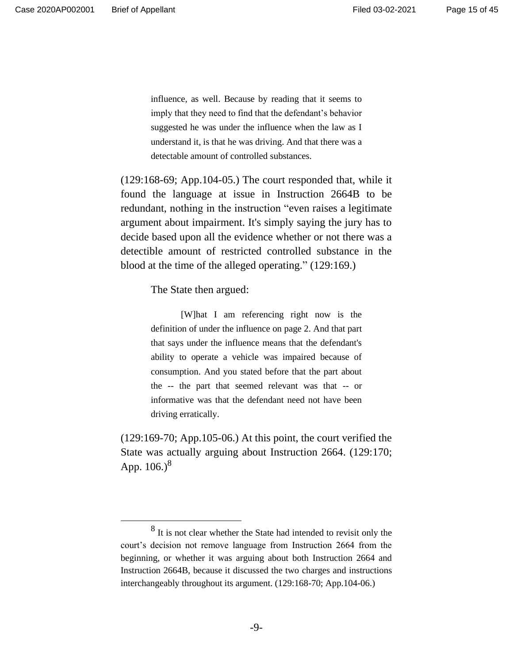influence, as well. Because by reading that it seems to imply that they need to find that the defendant's behavior suggested he was under the influence when the law as I understand it, is that he was driving. And that there was a detectable amount of controlled substances.

(129:168-69; App.104-05.) The court responded that, while it found the language at issue in Instruction 2664B to be redundant, nothing in the instruction "even raises a legitimate argument about impairment. It's simply saying the jury has to decide based upon all the evidence whether or not there was a detectible amount of restricted controlled substance in the blood at the time of the alleged operating." (129:169.)

The State then argued:

[W]hat I am referencing right now is the definition of under the influence on page 2. And that part that says under the influence means that the defendant's ability to operate a vehicle was impaired because of consumption. And you stated before that the part about the -- the part that seemed relevant was that -- or informative was that the defendant need not have been driving erratically.

(129:169-70; App.105-06.) At this point, the court verified the State was actually arguing about Instruction 2664. (129:170; App.  $106.$ <sup>8</sup>

<sup>&</sup>lt;sup>8</sup> It is not clear whether the State had intended to revisit only the court's decision not remove language from Instruction 2664 from the beginning, or whether it was arguing about both Instruction 2664 and Instruction 2664B, because it discussed the two charges and instructions interchangeably throughout its argument. (129:168-70; App.104-06.)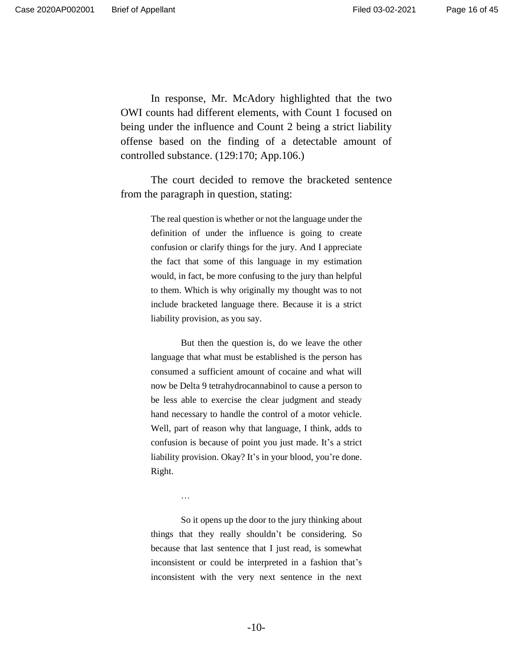In response, Mr. McAdory highlighted that the two OWI counts had different elements, with Count 1 focused on being under the influence and Count 2 being a strict liability offense based on the finding of a detectable amount of controlled substance. (129:170; App.106.)

The court decided to remove the bracketed sentence from the paragraph in question, stating:

> The real question is whether or not the language under the definition of under the influence is going to create confusion or clarify things for the jury. And I appreciate the fact that some of this language in my estimation would, in fact, be more confusing to the jury than helpful to them. Which is why originally my thought was to not include bracketed language there. Because it is a strict liability provision, as you say.

> But then the question is, do we leave the other language that what must be established is the person has consumed a sufficient amount of cocaine and what will now be Delta 9 tetrahydrocannabinol to cause a person to be less able to exercise the clear judgment and steady hand necessary to handle the control of a motor vehicle. Well, part of reason why that language, I think, adds to confusion is because of point you just made. It's a strict liability provision. Okay? It's in your blood, you're done. Right.

> > …

So it opens up the door to the jury thinking about things that they really shouldn't be considering. So because that last sentence that I just read, is somewhat inconsistent or could be interpreted in a fashion that's inconsistent with the very next sentence in the next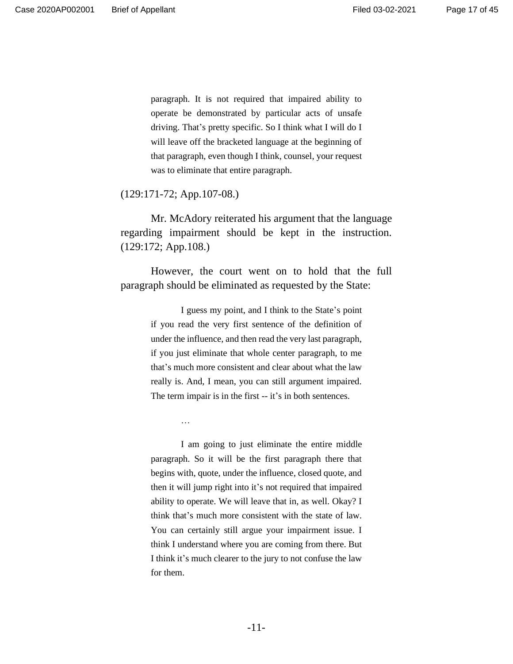paragraph. It is not required that impaired ability to operate be demonstrated by particular acts of unsafe driving. That's pretty specific. So I think what I will do I will leave off the bracketed language at the beginning of that paragraph, even though I think, counsel, your request was to eliminate that entire paragraph.

(129:171-72; App.107-08.)

Mr. McAdory reiterated his argument that the language regarding impairment should be kept in the instruction. (129:172; App.108.)

However, the court went on to hold that the full paragraph should be eliminated as requested by the State:

> I guess my point, and I think to the State's point if you read the very first sentence of the definition of under the influence, and then read the very last paragraph, if you just eliminate that whole center paragraph, to me that's much more consistent and clear about what the law really is. And, I mean, you can still argument impaired. The term impair is in the first -- it's in both sentences.

> > …

I am going to just eliminate the entire middle paragraph. So it will be the first paragraph there that begins with, quote, under the influence, closed quote, and then it will jump right into it's not required that impaired ability to operate. We will leave that in, as well. Okay? I think that's much more consistent with the state of law. You can certainly still argue your impairment issue. I think I understand where you are coming from there. But I think it's much clearer to the jury to not confuse the law for them.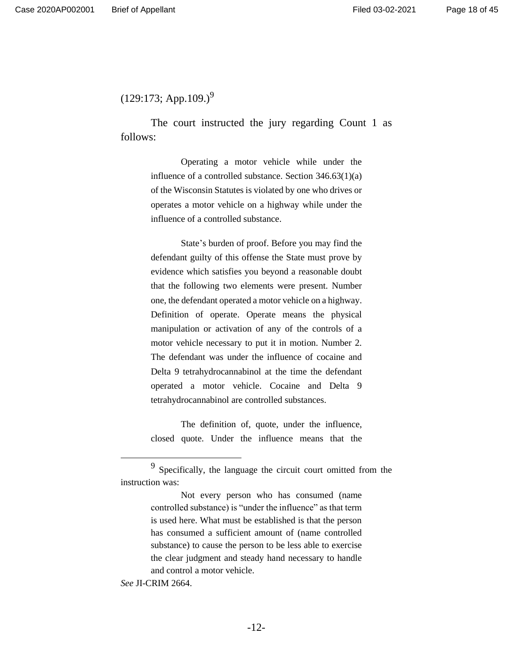$(129:173;$  App.109.)<sup>9</sup>

The court instructed the jury regarding Count 1 as follows:

> Operating a motor vehicle while under the influence of a controlled substance. Section 346.63(1)(a) of the Wisconsin Statutes is violated by one who drives or operates a motor vehicle on a highway while under the influence of a controlled substance.

> State's burden of proof. Before you may find the defendant guilty of this offense the State must prove by evidence which satisfies you beyond a reasonable doubt that the following two elements were present. Number one, the defendant operated a motor vehicle on a highway. Definition of operate. Operate means the physical manipulation or activation of any of the controls of a motor vehicle necessary to put it in motion. Number 2. The defendant was under the influence of cocaine and Delta 9 tetrahydrocannabinol at the time the defendant operated a motor vehicle. Cocaine and Delta 9 tetrahydrocannabinol are controlled substances.

> The definition of, quote, under the influence, closed quote. Under the influence means that the

*See* JI-CRIM 2664.

 $9$  Specifically, the language the circuit court omitted from the instruction was:

Not every person who has consumed (name controlled substance) is "under the influence" as that term is used here. What must be established is that the person has consumed a sufficient amount of (name controlled substance) to cause the person to be less able to exercise the clear judgment and steady hand necessary to handle and control a motor vehicle.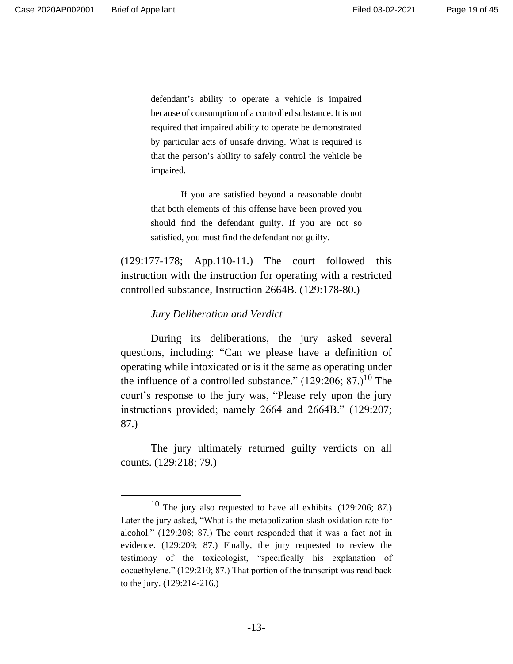defendant's ability to operate a vehicle is impaired because of consumption of a controlled substance. It is not required that impaired ability to operate be demonstrated by particular acts of unsafe driving. What is required is that the person's ability to safely control the vehicle be impaired.

If you are satisfied beyond a reasonable doubt that both elements of this offense have been proved you should find the defendant guilty. If you are not so satisfied, you must find the defendant not guilty.

(129:177-178; App.110-11.) The court followed this instruction with the instruction for operating with a restricted controlled substance, Instruction 2664B. (129:178-80.)

#### *Jury Deliberation and Verdict*

During its deliberations, the jury asked several questions, including: "Can we please have a definition of operating while intoxicated or is it the same as operating under the influence of a controlled substance."  $(129:206; 87.)^{10}$  The court's response to the jury was, "Please rely upon the jury instructions provided; namely 2664 and 2664B." (129:207; 87.)

The jury ultimately returned guilty verdicts on all counts. (129:218; 79.)

<sup>10</sup> The jury also requested to have all exhibits. (129:206; 87.) Later the jury asked, "What is the metabolization slash oxidation rate for alcohol." (129:208; 87.) The court responded that it was a fact not in evidence. (129:209; 87.) Finally, the jury requested to review the testimony of the toxicologist, "specifically his explanation of cocaethylene." (129:210; 87.) That portion of the transcript was read back to the jury. (129:214-216.)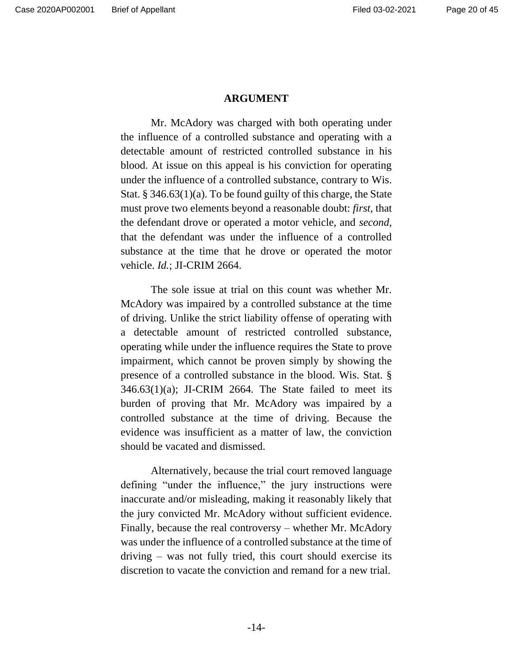#### **ARGUMENT**

Mr. McAdory was charged with both operating under the influence of a controlled substance and operating with a detectable amount of restricted controlled substance in his blood. At issue on this appeal is his conviction for operating under the influence of a controlled substance, contrary to Wis. Stat. § 346.63(1)(a). To be found guilty of this charge, the State must prove two elements beyond a reasonable doubt: *first*, that the defendant drove or operated a motor vehicle, and *second*, that the defendant was under the influence of a controlled substance at the time that he drove or operated the motor vehicle. *Id.*; JI-CRIM 2664.

The sole issue at trial on this count was whether Mr. McAdory was impaired by a controlled substance at the time of driving. Unlike the strict liability offense of operating with a detectable amount of restricted controlled substance, operating while under the influence requires the State to prove impairment, which cannot be proven simply by showing the presence of a controlled substance in the blood. Wis. Stat. § 346.63(1)(a); JI-CRIM 2664*.* The State failed to meet its burden of proving that Mr. McAdory was impaired by a controlled substance at the time of driving. Because the evidence was insufficient as a matter of law, the conviction should be vacated and dismissed.

Alternatively, because the trial court removed language defining "under the influence," the jury instructions were inaccurate and/or misleading, making it reasonably likely that the jury convicted Mr. McAdory without sufficient evidence. Finally, because the real controversy – whether Mr. McAdory was under the influence of a controlled substance at the time of driving – was not fully tried, this court should exercise its discretion to vacate the conviction and remand for a new trial.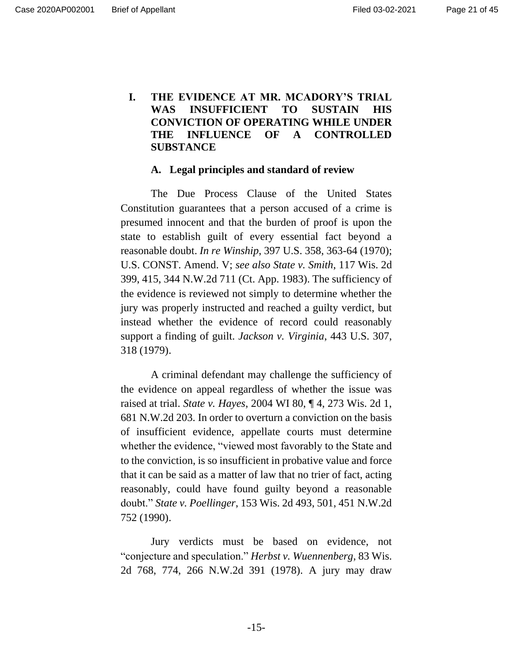# **I. THE EVIDENCE AT MR. MCADORY'S TRIAL WAS INSUFFICIENT TO SUSTAIN HIS CONVICTION OF OPERATING WHILE UNDER THE INFLUENCE OF A CONTROLLED SUBSTANCE**

#### **A. Legal principles and standard of review**

The Due Process Clause of the United States Constitution guarantees that a person accused of a crime is presumed innocent and that the burden of proof is upon the state to establish guilt of every essential fact beyond a reasonable doubt. *In re Winship*, 397 U.S. 358, 363-64 (1970); U.S. CONST. Amend. V; *see also State v. Smith*, 117 Wis. 2d 399, 415, 344 N.W.2d 711 (Ct. App. 1983). The sufficiency of the evidence is reviewed not simply to determine whether the jury was properly instructed and reached a guilty verdict, but instead whether the evidence of record could reasonably support a finding of guilt. *Jackson v. Virginia*, 443 U.S. 307, 318 (1979).

A criminal defendant may challenge the sufficiency of the evidence on appeal regardless of whether the issue was raised at trial. *State v. Hayes*, 2004 WI 80, ¶ 4, 273 Wis. 2d 1, 681 N.W.2d 203. In order to overturn a conviction on the basis of insufficient evidence, appellate courts must determine whether the evidence, "viewed most favorably to the State and to the conviction, is so insufficient in probative value and force that it can be said as a matter of law that no trier of fact, acting reasonably, could have found guilty beyond a reasonable doubt." *State v. Poellinger*, 153 Wis. 2d 493, 501, 451 N.W.2d 752 (1990).

Jury verdicts must be based on evidence, not "conjecture and speculation." *Herbst v. Wuennenberg*, 83 Wis. 2d 768, 774, 266 N.W.2d 391 (1978). A jury may draw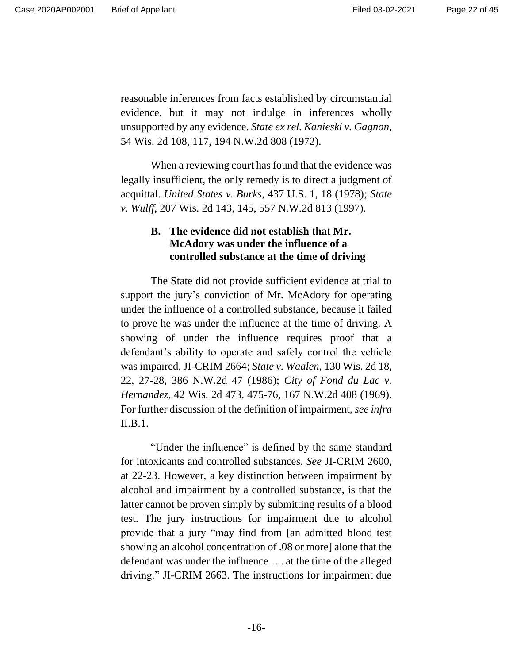reasonable inferences from facts established by circumstantial evidence, but it may not indulge in inferences wholly unsupported by any evidence. *State ex rel. Kanieski v. Gagnon*, 54 Wis. 2d 108, 117, 194 N.W.2d 808 (1972).

When a reviewing court has found that the evidence was legally insufficient, the only remedy is to direct a judgment of acquittal. *United States v. Burks*, 437 U.S. 1, 18 (1978); *State v. Wulff*, 207 Wis. 2d 143, 145, 557 N.W.2d 813 (1997).

# **B. The evidence did not establish that Mr. McAdory was under the influence of a controlled substance at the time of driving**

The State did not provide sufficient evidence at trial to support the jury's conviction of Mr. McAdory for operating under the influence of a controlled substance, because it failed to prove he was under the influence at the time of driving. A showing of under the influence requires proof that a defendant's ability to operate and safely control the vehicle was impaired. JI-CRIM 2664; *State v. Waalen*, 130 Wis. 2d 18, 22, 27-28, 386 N.W.2d 47 (1986); *City of Fond du Lac v. Hernandez*, 42 Wis. 2d 473, 475-76, 167 N.W.2d 408 (1969). For further discussion of the definition of impairment, *see infra*  II.B.1.

"Under the influence" is defined by the same standard for intoxicants and controlled substances. *See* JI-CRIM 2600, at 22-23. However, a key distinction between impairment by alcohol and impairment by a controlled substance, is that the latter cannot be proven simply by submitting results of a blood test. The jury instructions for impairment due to alcohol provide that a jury "may find from [an admitted blood test showing an alcohol concentration of .08 or more] alone that the defendant was under the influence . . . at the time of the alleged driving." JI-CRIM 2663. The instructions for impairment due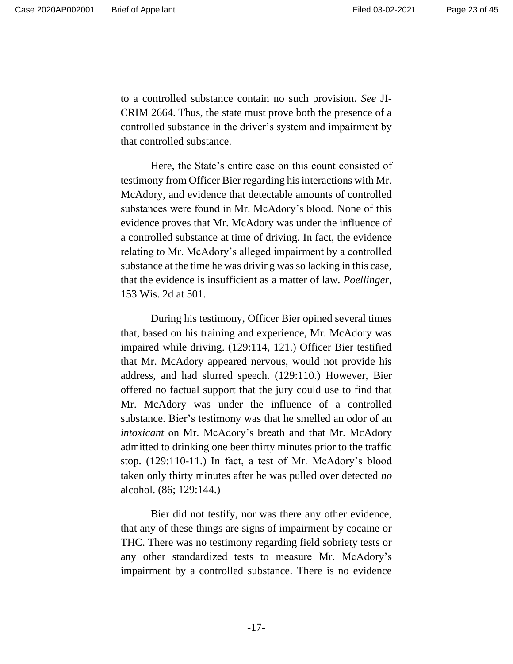to a controlled substance contain no such provision. *See* JI-CRIM 2664. Thus, the state must prove both the presence of a controlled substance in the driver's system and impairment by that controlled substance.

Here, the State's entire case on this count consisted of testimony from Officer Bier regarding his interactions with Mr. McAdory, and evidence that detectable amounts of controlled substances were found in Mr. McAdory's blood. None of this evidence proves that Mr. McAdory was under the influence of a controlled substance at time of driving. In fact, the evidence relating to Mr. McAdory's alleged impairment by a controlled substance at the time he was driving was so lacking in this case, that the evidence is insufficient as a matter of law. *Poellinger*, 153 Wis. 2d at 501.

During his testimony, Officer Bier opined several times that, based on his training and experience, Mr. McAdory was impaired while driving. (129:114, 121.) Officer Bier testified that Mr. McAdory appeared nervous, would not provide his address, and had slurred speech. (129:110.) However, Bier offered no factual support that the jury could use to find that Mr. McAdory was under the influence of a controlled substance. Bier's testimony was that he smelled an odor of an *intoxicant* on Mr. McAdory's breath and that Mr. McAdory admitted to drinking one beer thirty minutes prior to the traffic stop. (129:110-11.) In fact, a test of Mr. McAdory's blood taken only thirty minutes after he was pulled over detected *no* alcohol. (86; 129:144.)

Bier did not testify, nor was there any other evidence, that any of these things are signs of impairment by cocaine or THC. There was no testimony regarding field sobriety tests or any other standardized tests to measure Mr. McAdory's impairment by a controlled substance. There is no evidence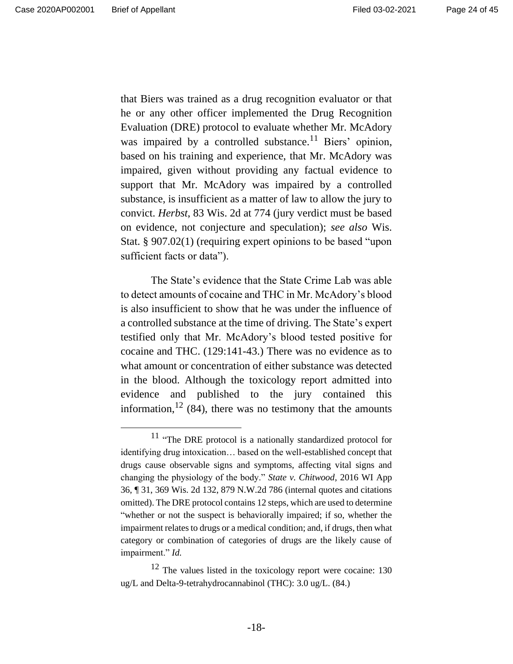that Biers was trained as a drug recognition evaluator or that he or any other officer implemented the Drug Recognition Evaluation (DRE) protocol to evaluate whether Mr. McAdory was impaired by a controlled substance.<sup>11</sup> Biers' opinion, based on his training and experience, that Mr. McAdory was impaired, given without providing any factual evidence to support that Mr. McAdory was impaired by a controlled substance, is insufficient as a matter of law to allow the jury to convict. *Herbst*, 83 Wis. 2d at 774 (jury verdict must be based on evidence, not conjecture and speculation); *see also* Wis. Stat. § 907.02(1) (requiring expert opinions to be based "upon sufficient facts or data").

The State's evidence that the State Crime Lab was able to detect amounts of cocaine and THC in Mr. McAdory's blood is also insufficient to show that he was under the influence of a controlled substance at the time of driving. The State's expert testified only that Mr. McAdory's blood tested positive for cocaine and THC. (129:141-43.) There was no evidence as to what amount or concentration of either substance was detected in the blood. Although the toxicology report admitted into evidence and published to the jury contained this information,  $^{12}$  (84), there was no testimony that the amounts

<sup>11</sup> "The DRE protocol is a nationally standardized protocol for identifying drug intoxication… based on the well-established concept that drugs cause observable signs and symptoms, affecting vital signs and changing the physiology of the body." *State v. Chitwood*, 2016 WI App 36, ¶ 31, 369 Wis. 2d 132, 879 N.W.2d 786 (internal quotes and citations omitted). The DRE protocol contains 12 steps, which are used to determine "whether or not the suspect is behaviorally impaired; if so, whether the impairment relates to drugs or a medical condition; and, if drugs, then what category or combination of categories of drugs are the likely cause of impairment." *Id.*

<sup>12</sup> The values listed in the toxicology report were cocaine: 130 ug/L and Delta-9-tetrahydrocannabinol (THC): 3.0 ug/L. (84.)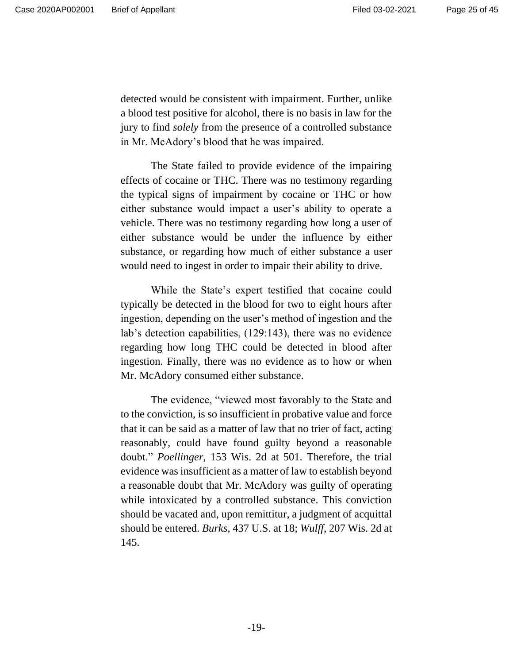detected would be consistent with impairment. Further, unlike a blood test positive for alcohol, there is no basis in law for the jury to find *solely* from the presence of a controlled substance in Mr. McAdory's blood that he was impaired.

The State failed to provide evidence of the impairing effects of cocaine or THC. There was no testimony regarding the typical signs of impairment by cocaine or THC or how either substance would impact a user's ability to operate a vehicle. There was no testimony regarding how long a user of either substance would be under the influence by either substance, or regarding how much of either substance a user would need to ingest in order to impair their ability to drive.

While the State's expert testified that cocaine could typically be detected in the blood for two to eight hours after ingestion, depending on the user's method of ingestion and the lab's detection capabilities, (129:143), there was no evidence regarding how long THC could be detected in blood after ingestion. Finally, there was no evidence as to how or when Mr. McAdory consumed either substance.

The evidence, "viewed most favorably to the State and to the conviction, is so insufficient in probative value and force that it can be said as a matter of law that no trier of fact, acting reasonably, could have found guilty beyond a reasonable doubt." *Poellinger*, 153 Wis. 2d at 501. Therefore, the trial evidence was insufficient as a matter of law to establish beyond a reasonable doubt that Mr. McAdory was guilty of operating while intoxicated by a controlled substance. This conviction should be vacated and, upon remittitur, a judgment of acquittal should be entered. *Burks*, 437 U.S. at 18; *Wulff*, 207 Wis. 2d at 145.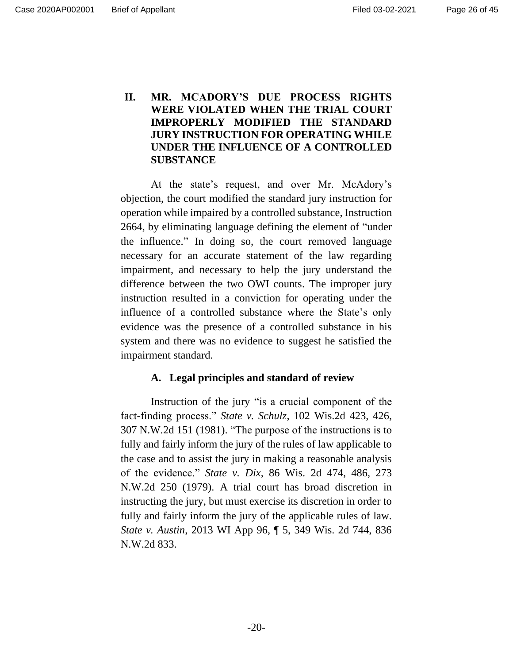# **II. MR. MCADORY'S DUE PROCESS RIGHTS WERE VIOLATED WHEN THE TRIAL COURT IMPROPERLY MODIFIED THE STANDARD JURY INSTRUCTION FOR OPERATING WHILE UNDER THE INFLUENCE OF A CONTROLLED SUBSTANCE**

At the state's request, and over Mr. McAdory's objection, the court modified the standard jury instruction for operation while impaired by a controlled substance, Instruction 2664, by eliminating language defining the element of "under the influence." In doing so, the court removed language necessary for an accurate statement of the law regarding impairment, and necessary to help the jury understand the difference between the two OWI counts. The improper jury instruction resulted in a conviction for operating under the influence of a controlled substance where the State's only evidence was the presence of a controlled substance in his system and there was no evidence to suggest he satisfied the impairment standard.

## **A. Legal principles and standard of review**

Instruction of the jury "is a crucial component of the fact-finding process." *State v. Schulz*, 102 Wis.2d 423, 426, 307 N.W.2d 151 (1981). "The purpose of the instructions is to fully and fairly inform the jury of the rules of law applicable to the case and to assist the jury in making a reasonable analysis of the evidence." *State v. Dix*, 86 Wis. 2d 474, 486, 273 N.W.2d 250 (1979). A trial court has broad discretion in instructing the jury, but must exercise its discretion in order to fully and fairly inform the jury of the applicable rules of law. *State v. Austin*, 2013 WI App 96, ¶ 5, 349 Wis. 2d 744, 836 N.W.2d 833.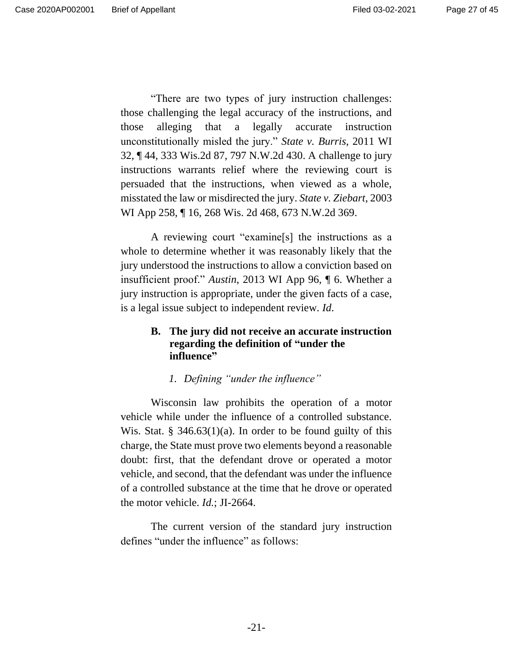"There are two types of jury instruction challenges: those challenging the legal accuracy of the instructions, and those alleging that a legally accurate instruction unconstitutionally misled the jury." *State v. Burris*, 2011 WI 32, ¶ 44, 333 Wis.2d 87, 797 N.W.2d 430. A challenge to jury instructions warrants relief where the reviewing court is persuaded that the instructions, when viewed as a whole, misstated the law or misdirected the jury. *State v. Ziebart*, 2003 WI App 258, ¶ 16, 268 Wis. 2d 468, 673 N.W.2d 369.

A reviewing court "examine[s] the instructions as a whole to determine whether it was reasonably likely that the jury understood the instructions to allow a conviction based on insufficient proof." *Austin*, 2013 WI App 96, ¶ 6. Whether a jury instruction is appropriate, under the given facts of a case, is a legal issue subject to independent review. *Id*.

## **B. The jury did not receive an accurate instruction regarding the definition of "under the influence"**

## *1. Defining "under the influence"*

Wisconsin law prohibits the operation of a motor vehicle while under the influence of a controlled substance. Wis. Stat.  $\S$  346.63(1)(a). In order to be found guilty of this charge, the State must prove two elements beyond a reasonable doubt: first, that the defendant drove or operated a motor vehicle, and second, that the defendant was under the influence of a controlled substance at the time that he drove or operated the motor vehicle. *Id.*; JI-2664.

The current version of the standard jury instruction defines "under the influence" as follows: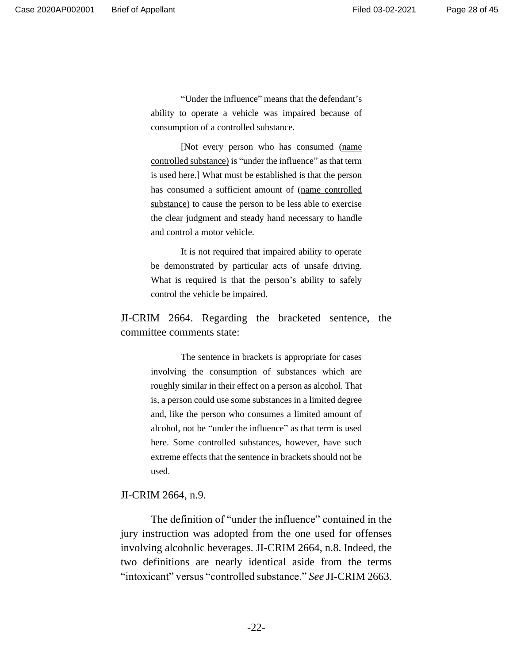"Under the influence" means that the defendant's ability to operate a vehicle was impaired because of consumption of a controlled substance.

[Not every person who has consumed (name controlled substance) is "under the influence" as that term is used here.] What must be established is that the person has consumed a sufficient amount of (name controlled substance) to cause the person to be less able to exercise the clear judgment and steady hand necessary to handle and control a motor vehicle.

It is not required that impaired ability to operate be demonstrated by particular acts of unsafe driving. What is required is that the person's ability to safely control the vehicle be impaired.

JI-CRIM 2664. Regarding the bracketed sentence, the committee comments state:

> The sentence in brackets is appropriate for cases involving the consumption of substances which are roughly similar in their effect on a person as alcohol. That is, a person could use some substances in a limited degree and, like the person who consumes a limited amount of alcohol, not be "under the influence" as that term is used here. Some controlled substances, however, have such extreme effects that the sentence in brackets should not be used.

#### JI-CRIM 2664, n.9.

The definition of "under the influence" contained in the jury instruction was adopted from the one used for offenses involving alcoholic beverages. JI-CRIM 2664, n.8. Indeed, the two definitions are nearly identical aside from the terms "intoxicant" versus "controlled substance." *See* JI-CRIM 2663.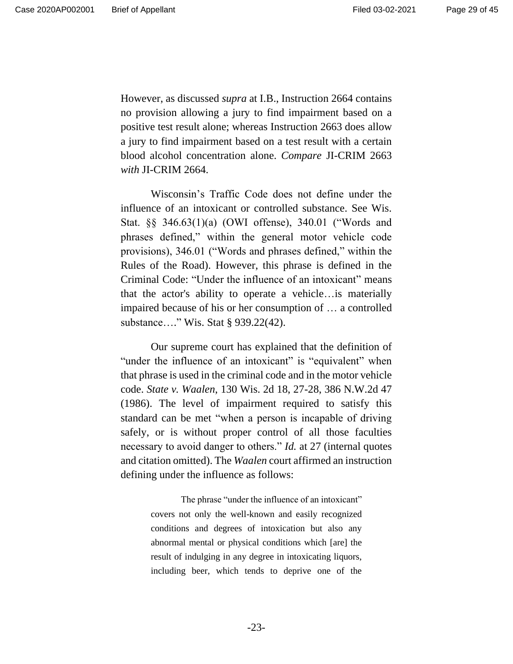However, as discussed *supra* at I.B., Instruction 2664 contains no provision allowing a jury to find impairment based on a positive test result alone; whereas Instruction 2663 does allow a jury to find impairment based on a test result with a certain blood alcohol concentration alone. *Compare* JI-CRIM 2663 *with* JI-CRIM 2664.

Wisconsin's Traffic Code does not define under the influence of an intoxicant or controlled substance. See Wis. Stat. §§ 346.63(1)(a) (OWI offense), 340.01 ("Words and phrases defined," within the general motor vehicle code provisions), 346.01 ("Words and phrases defined," within the Rules of the Road). However, this phrase is defined in the Criminal Code: "Under the influence of an intoxicant" means that the actor's ability to operate a vehicle…is materially impaired because of his or her consumption of … a controlled substance…." Wis. Stat § 939.22(42).

Our supreme court has explained that the definition of "under the influence of an intoxicant" is "equivalent" when that phrase is used in the criminal code and in the motor vehicle code. *State v. Waalen*, 130 Wis. 2d 18, 27-28, 386 N.W.2d 47 (1986). The level of impairment required to satisfy this standard can be met "when a person is incapable of driving safely, or is without proper control of all those faculties necessary to avoid danger to others." *Id.* at 27 (internal quotes and citation omitted). The *Waalen* court affirmed an instruction defining under the influence as follows:

> The phrase "under the influence of an intoxicant" covers not only the well-known and easily recognized conditions and degrees of intoxication but also any abnormal mental or physical conditions which [are] the result of indulging in any degree in intoxicating liquors, including beer, which tends to deprive one of the

> > -23-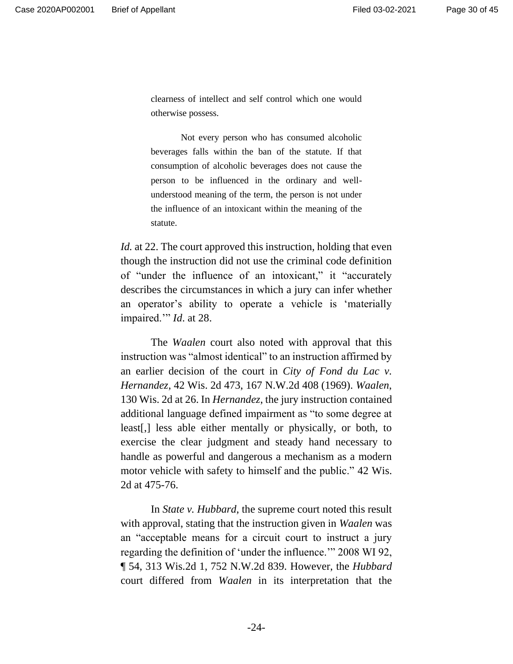clearness of intellect and self control which one would otherwise possess.

Not every person who has consumed alcoholic beverages falls within the ban of the statute. If that consumption of alcoholic beverages does not cause the person to be influenced in the ordinary and wellunderstood meaning of the term, the person is not under the influence of an intoxicant within the meaning of the statute.

*Id.* at 22. The court approved this instruction, holding that even though the instruction did not use the criminal code definition of "under the influence of an intoxicant," it "accurately describes the circumstances in which a jury can infer whether an operator's ability to operate a vehicle is 'materially impaired.'" *Id*. at 28.

The *Waalen* court also noted with approval that this instruction was "almost identical" to an instruction affirmed by an earlier decision of the court in *City of Fond du Lac v. Hernandez*, 42 Wis. 2d 473, 167 N.W.2d 408 (1969). *Waalen*, 130 Wis. 2d at 26. In *Hernandez*, the jury instruction contained additional language defined impairment as "to some degree at least[,] less able either mentally or physically, or both, to exercise the clear judgment and steady hand necessary to handle as powerful and dangerous a mechanism as a modern motor vehicle with safety to himself and the public." 42 Wis. 2d at 475-76.

In *State v. Hubbard*, the supreme court noted this result with approval, stating that the instruction given in *Waalen* was an "acceptable means for a circuit court to instruct a jury regarding the definition of 'under the influence.'" 2008 WI 92, ¶ 54, 313 Wis.2d 1, 752 N.W.2d 839. However, the *Hubbard*  court differed from *Waalen* in its interpretation that the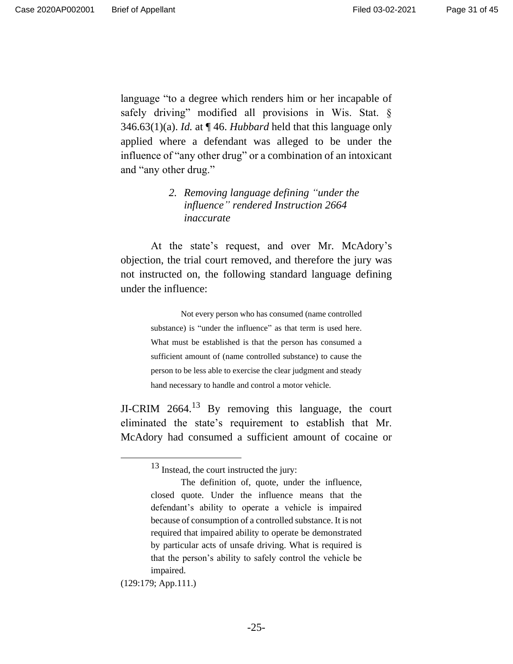language "to a degree which renders him or her incapable of safely driving" modified all provisions in Wis. Stat. § 346.63(1)(a). *Id.* at ¶ 46. *Hubbard* held that this language only applied where a defendant was alleged to be under the influence of "any other drug" or a combination of an intoxicant and "any other drug."

## *2. Removing language defining "under the influence" rendered Instruction 2664 inaccurate*

At the state's request, and over Mr. McAdory's objection, the trial court removed, and therefore the jury was not instructed on, the following standard language defining under the influence:

> Not every person who has consumed (name controlled substance) is "under the influence" as that term is used here. What must be established is that the person has consumed a sufficient amount of (name controlled substance) to cause the person to be less able to exercise the clear judgment and steady hand necessary to handle and control a motor vehicle.

JI-CRIM  $2664<sup>13</sup>$  By removing this language, the court eliminated the state's requirement to establish that Mr. McAdory had consumed a sufficient amount of cocaine or

(129:179; App.111.)

<sup>&</sup>lt;sup>13</sup> Instead, the court instructed the jury:

The definition of, quote, under the influence, closed quote. Under the influence means that the defendant's ability to operate a vehicle is impaired because of consumption of a controlled substance. It is not required that impaired ability to operate be demonstrated by particular acts of unsafe driving. What is required is that the person's ability to safely control the vehicle be impaired.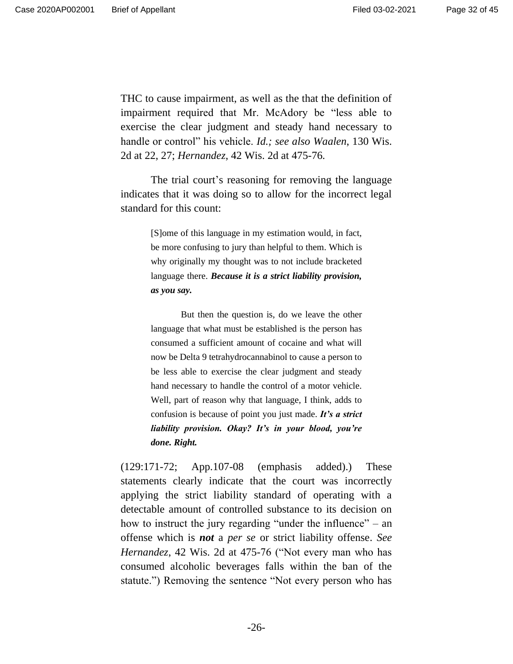THC to cause impairment, as well as the that the definition of impairment required that Mr. McAdory be "less able to exercise the clear judgment and steady hand necessary to handle or control" his vehicle. *Id.; see also Waalen*, 130 Wis. 2d at 22, 27; *Hernandez*, 42 Wis. 2d at 475-76*.*

The trial court's reasoning for removing the language indicates that it was doing so to allow for the incorrect legal standard for this count:

> [S]ome of this language in my estimation would, in fact, be more confusing to jury than helpful to them. Which is why originally my thought was to not include bracketed language there. *Because it is a strict liability provision, as you say.*

> But then the question is, do we leave the other language that what must be established is the person has consumed a sufficient amount of cocaine and what will now be Delta 9 tetrahydrocannabinol to cause a person to be less able to exercise the clear judgment and steady hand necessary to handle the control of a motor vehicle. Well, part of reason why that language, I think, adds to confusion is because of point you just made. *It's a strict liability provision. Okay? It's in your blood, you're done. Right.*

(129:171-72; App.107-08 (emphasis added).) These statements clearly indicate that the court was incorrectly applying the strict liability standard of operating with a detectable amount of controlled substance to its decision on how to instruct the jury regarding "under the influence" – an offense which is *not* a *per se* or strict liability offense. *See Hernandez*, 42 Wis. 2d at 475-76 ("Not every man who has consumed alcoholic beverages falls within the ban of the statute.") Removing the sentence "Not every person who has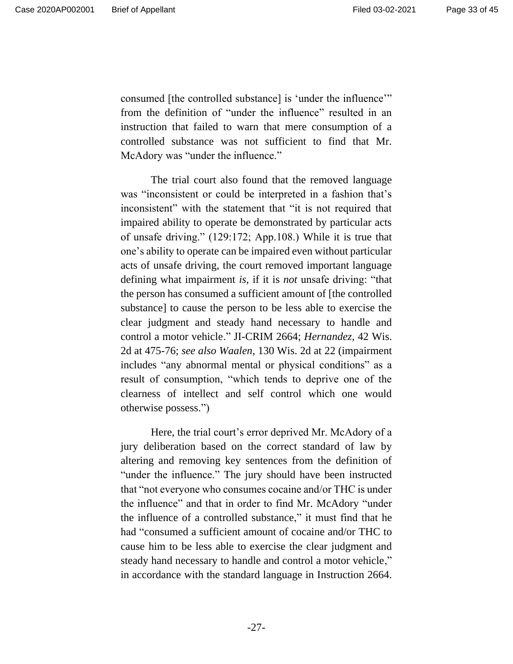consumed [the controlled substance] is 'under the influence'" from the definition of "under the influence" resulted in an instruction that failed to warn that mere consumption of a controlled substance was not sufficient to find that Mr. McAdory was "under the influence."

The trial court also found that the removed language was "inconsistent or could be interpreted in a fashion that's inconsistent" with the statement that "it is not required that impaired ability to operate be demonstrated by particular acts of unsafe driving." (129:172; App.108.) While it is true that one's ability to operate can be impaired even without particular acts of unsafe driving, the court removed important language defining what impairment *is,* if it is *not* unsafe driving: "that the person has consumed a sufficient amount of [the controlled substance] to cause the person to be less able to exercise the clear judgment and steady hand necessary to handle and control a motor vehicle." JI-CRIM 2664; *Hernandez*, 42 Wis. 2d at 475-76; *see also Waalen*, 130 Wis. 2d at 22 (impairment includes "any abnormal mental or physical conditions" as a result of consumption, "which tends to deprive one of the clearness of intellect and self control which one would otherwise possess.")

Here, the trial court's error deprived Mr. McAdory of a jury deliberation based on the correct standard of law by altering and removing key sentences from the definition of "under the influence." The jury should have been instructed that "not everyone who consumes cocaine and/or THC is under the influence" and that in order to find Mr. McAdory "under the influence of a controlled substance," it must find that he had "consumed a sufficient amount of cocaine and/or THC to cause him to be less able to exercise the clear judgment and steady hand necessary to handle and control a motor vehicle," in accordance with the standard language in Instruction 2664.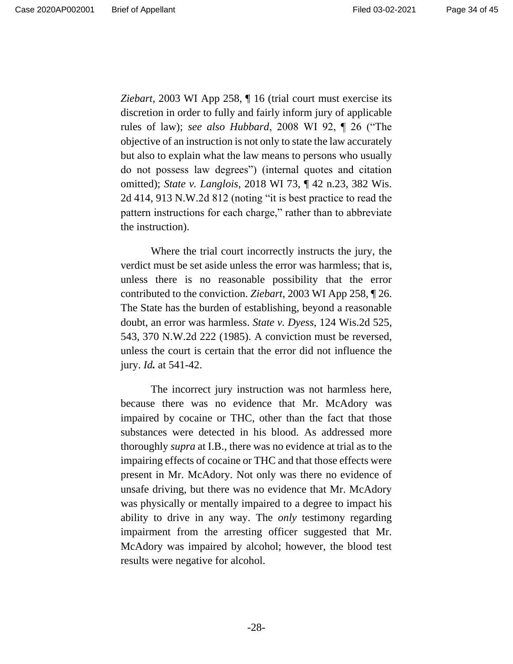*Ziebart*, 2003 WI App 258, ¶ 16 (trial court must exercise its discretion in order to fully and fairly inform jury of applicable rules of law); *see also Hubbard*, 2008 WI 92, ¶ 26 ("The objective of an instruction is not only to state the law accurately but also to explain what the law means to persons who usually do not possess law degrees") (internal quotes and citation omitted); *State v. Langlois*, 2018 WI 73, ¶ 42 n.23, 382 Wis. 2d 414, 913 N.W.2d 812 (noting "it is best practice to read the pattern instructions for each charge," rather than to abbreviate the instruction).

Where the trial court incorrectly instructs the jury, the verdict must be set aside unless the error was harmless; that is, unless there is no reasonable possibility that the error contributed to the conviction. *Ziebart*, 2003 WI App 258, ¶ 26. The State has the burden of establishing, beyond a reasonable doubt, an error was harmless. *State v. Dyess*, 124 Wis.2d 525, 543, 370 N.W.2d 222 (1985). A conviction must be reversed, unless the court is certain that the error did not influence the jury. *Id.* at 541-42.

The incorrect jury instruction was not harmless here, because there was no evidence that Mr. McAdory was impaired by cocaine or THC, other than the fact that those substances were detected in his blood. As addressed more thoroughly *supra* at I.B., there was no evidence at trial as to the impairing effects of cocaine or THC and that those effects were present in Mr. McAdory. Not only was there no evidence of unsafe driving, but there was no evidence that Mr. McAdory was physically or mentally impaired to a degree to impact his ability to drive in any way. The *only* testimony regarding impairment from the arresting officer suggested that Mr. McAdory was impaired by alcohol; however, the blood test results were negative for alcohol.

-28-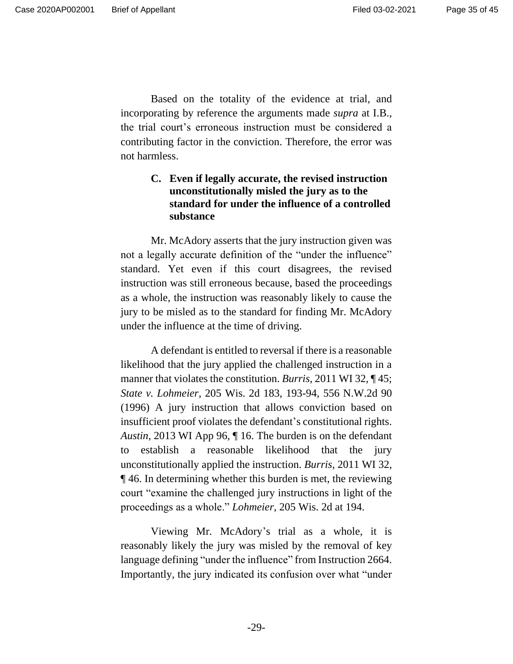Page 35 of 45

Based on the totality of the evidence at trial, and incorporating by reference the arguments made *supra* at I.B., the trial court's erroneous instruction must be considered a contributing factor in the conviction. Therefore, the error was not harmless.

# **C. Even if legally accurate, the revised instruction unconstitutionally misled the jury as to the standard for under the influence of a controlled substance**

Mr. McAdory asserts that the jury instruction given was not a legally accurate definition of the "under the influence" standard. Yet even if this court disagrees, the revised instruction was still erroneous because, based the proceedings as a whole, the instruction was reasonably likely to cause the jury to be misled as to the standard for finding Mr. McAdory under the influence at the time of driving.

A defendant is entitled to reversal if there is a reasonable likelihood that the jury applied the challenged instruction in a manner that violates the constitution. *Burris*, 2011 WI 32, ¶ 45; *State v. Lohmeier*, 205 Wis. 2d 183, 193-94, 556 N.W.2d 90 (1996) A jury instruction that allows conviction based on insufficient proof violates the defendant's constitutional rights. *Austin*, 2013 WI App 96, ¶ 16. The burden is on the defendant to establish a reasonable likelihood that the jury unconstitutionally applied the instruction. *Burris*, 2011 WI 32, ¶ 46. In determining whether this burden is met, the reviewing court "examine the challenged jury instructions in light of the proceedings as a whole." *Lohmeier*, 205 Wis. 2d at 194.

Viewing Mr. McAdory's trial as a whole, it is reasonably likely the jury was misled by the removal of key language defining "under the influence" from Instruction 2664. Importantly, the jury indicated its confusion over what "under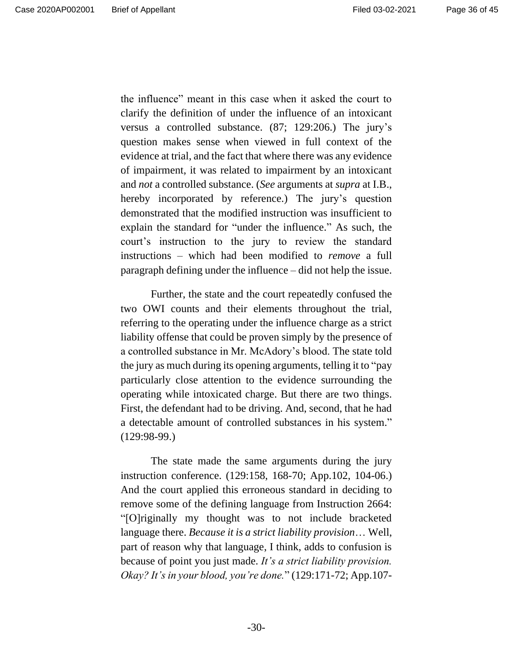the influence" meant in this case when it asked the court to clarify the definition of under the influence of an intoxicant versus a controlled substance. (87; 129:206.) The jury's question makes sense when viewed in full context of the evidence at trial, and the fact that where there was any evidence of impairment, it was related to impairment by an intoxicant and *not* a controlled substance. (*See* arguments at *supra* at I.B., hereby incorporated by reference.) The jury's question demonstrated that the modified instruction was insufficient to explain the standard for "under the influence." As such, the court's instruction to the jury to review the standard instructions – which had been modified to *remove* a full

Further, the state and the court repeatedly confused the two OWI counts and their elements throughout the trial, referring to the operating under the influence charge as a strict liability offense that could be proven simply by the presence of a controlled substance in Mr. McAdory's blood. The state told the jury as much during its opening arguments, telling it to "pay particularly close attention to the evidence surrounding the operating while intoxicated charge. But there are two things. First, the defendant had to be driving. And, second, that he had a detectable amount of controlled substances in his system." (129:98-99.)

paragraph defining under the influence – did not help the issue.

The state made the same arguments during the jury instruction conference. (129:158, 168-70; App.102, 104-06.) And the court applied this erroneous standard in deciding to remove some of the defining language from Instruction 2664: "[O]riginally my thought was to not include bracketed language there. *Because it is a strict liability provision*… Well, part of reason why that language, I think, adds to confusion is because of point you just made. *It's a strict liability provision. Okay? It's in your blood, you're done.*" (129:171-72; App.107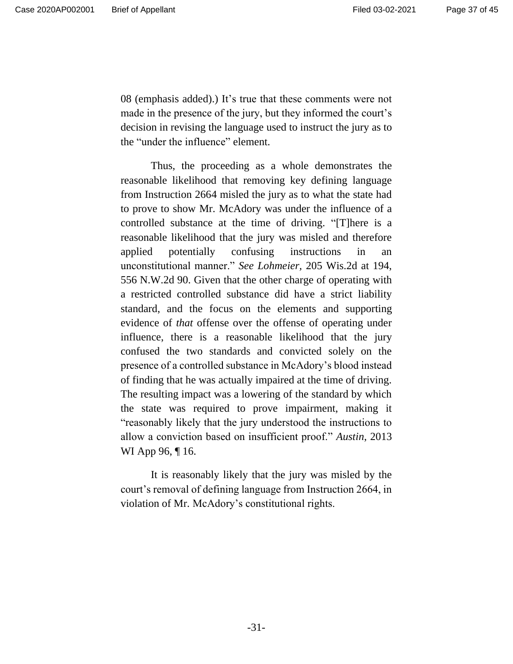08 (emphasis added).) It's true that these comments were not made in the presence of the jury, but they informed the court's decision in revising the language used to instruct the jury as to the "under the influence" element.

Thus, the proceeding as a whole demonstrates the reasonable likelihood that removing key defining language from Instruction 2664 misled the jury as to what the state had to prove to show Mr. McAdory was under the influence of a controlled substance at the time of driving. "[T]here is a reasonable likelihood that the jury was misled and therefore applied potentially confusing instructions in an unconstitutional manner." *See Lohmeier,* 205 Wis.2d at 194, 556 N.W.2d 90. Given that the other charge of operating with a restricted controlled substance did have a strict liability standard, and the focus on the elements and supporting evidence of *that* offense over the offense of operating under influence, there is a reasonable likelihood that the jury confused the two standards and convicted solely on the presence of a controlled substance in McAdory's blood instead of finding that he was actually impaired at the time of driving. The resulting impact was a lowering of the standard by which the state was required to prove impairment, making it "reasonably likely that the jury understood the instructions to allow a conviction based on insufficient proof." *Austin*, 2013 WI App 96, ¶ 16.

It is reasonably likely that the jury was misled by the court's removal of defining language from Instruction 2664, in violation of Mr. McAdory's constitutional rights.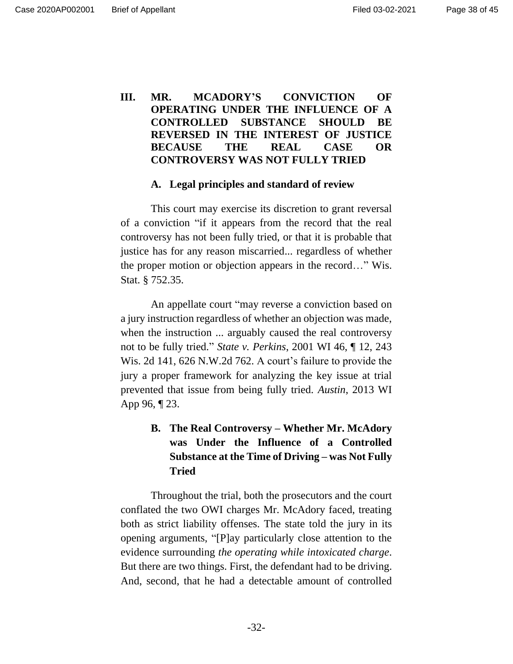# **III. MR. MCADORY'S CONVICTION OF OPERATING UNDER THE INFLUENCE OF A CONTROLLED SUBSTANCE SHOULD BE REVERSED IN THE INTEREST OF JUSTICE BECAUSE THE REAL CASE OR CONTROVERSY WAS NOT FULLY TRIED**

#### **A. Legal principles and standard of review**

This court may exercise its discretion to grant reversal of a conviction "if it appears from the record that the real controversy has not been fully tried, or that it is probable that justice has for any reason miscarried... regardless of whether the proper motion or objection appears in the record…" Wis. Stat. § 752.35.

An appellate court "may reverse a conviction based on a jury instruction regardless of whether an objection was made, when the instruction ... arguably caused the real controversy not to be fully tried." *State v. Perkins*, 2001 WI 46, ¶ 12, 243 Wis. 2d 141, 626 N.W.2d 762. A court's failure to provide the jury a proper framework for analyzing the key issue at trial prevented that issue from being fully tried. *Austin*, 2013 WI App 96, ¶ 23.

# **B. The Real Controversy – Whether Mr. McAdory was Under the Influence of a Controlled Substance at the Time of Driving – was Not Fully Tried**

Throughout the trial, both the prosecutors and the court conflated the two OWI charges Mr. McAdory faced, treating both as strict liability offenses. The state told the jury in its opening arguments, "[P]ay particularly close attention to the evidence surrounding *the operating while intoxicated charge*. But there are two things. First, the defendant had to be driving. And, second, that he had a detectable amount of controlled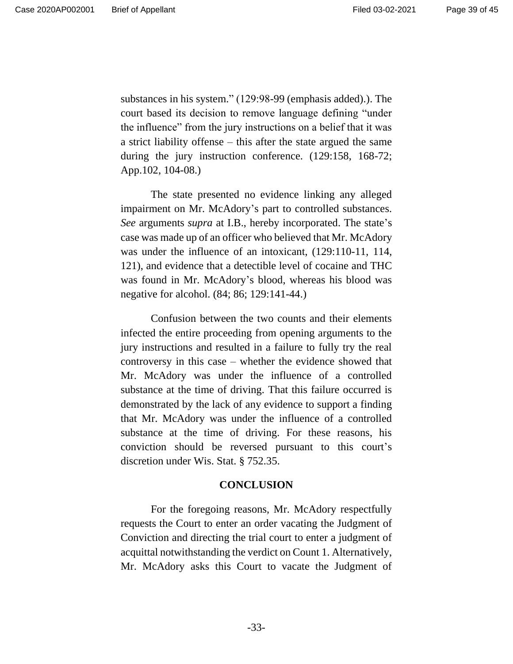substances in his system." (129:98-99 (emphasis added).). The court based its decision to remove language defining "under the influence" from the jury instructions on a belief that it was a strict liability offense – this after the state argued the same during the jury instruction conference. (129:158, 168-72; App.102, 104-08.)

The state presented no evidence linking any alleged impairment on Mr. McAdory's part to controlled substances. *See* arguments *supra* at I.B., hereby incorporated. The state's case was made up of an officer who believed that Mr. McAdory was under the influence of an intoxicant, (129:110-11, 114, 121), and evidence that a detectible level of cocaine and THC was found in Mr. McAdory's blood, whereas his blood was negative for alcohol. (84; 86; 129:141-44.)

Confusion between the two counts and their elements infected the entire proceeding from opening arguments to the jury instructions and resulted in a failure to fully try the real controversy in this case – whether the evidence showed that Mr. McAdory was under the influence of a controlled substance at the time of driving. That this failure occurred is demonstrated by the lack of any evidence to support a finding that Mr. McAdory was under the influence of a controlled substance at the time of driving. For these reasons, his conviction should be reversed pursuant to this court's discretion under Wis. Stat. § 752.35.

#### **CONCLUSION**

For the foregoing reasons, Mr. McAdory respectfully requests the Court to enter an order vacating the Judgment of Conviction and directing the trial court to enter a judgment of acquittal notwithstanding the verdict on Count 1. Alternatively, Mr. McAdory asks this Court to vacate the Judgment of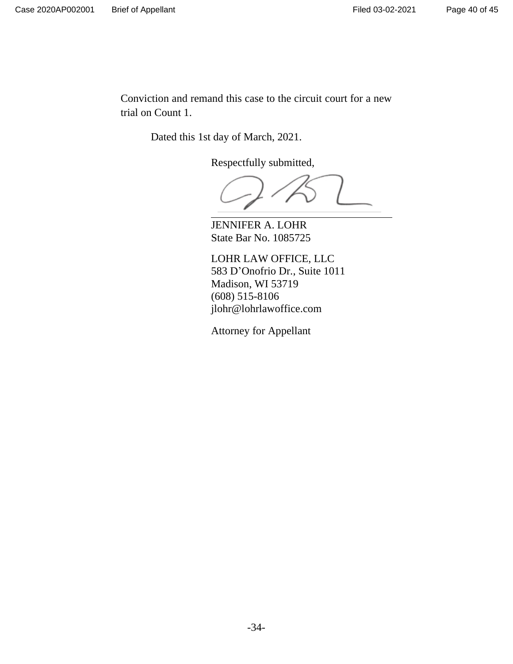Conviction and remand this case to the circuit court for a new trial on Count 1.

Dated this 1st day of March, 2021.

Respectfully submitted,

JENNIFER A. LOHR State Bar No. 1085725

LOHR LAW OFFICE, LLC 583 D'Onofrio Dr., Suite 1011 Madison, WI 53719 (608) 515-8106 jlohr@lohrlawoffice.com

Attorney for Appellant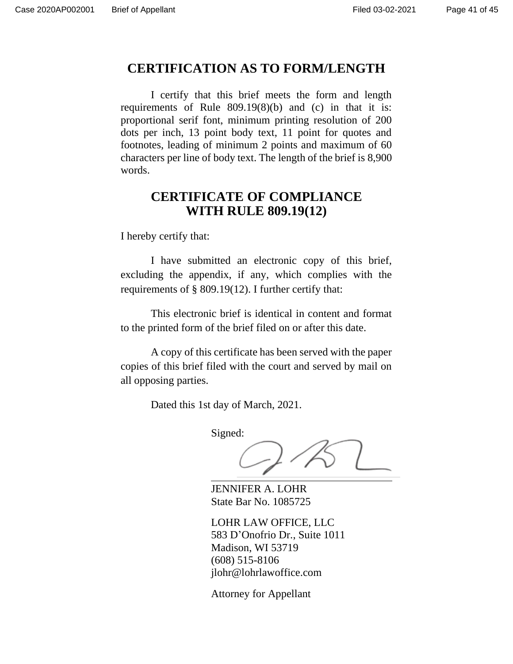# **CERTIFICATION AS TO FORM/LENGTH**

I certify that this brief meets the form and length requirements of Rule 809.19(8)(b) and (c) in that it is: proportional serif font, minimum printing resolution of 200 dots per inch, 13 point body text, 11 point for quotes and footnotes, leading of minimum 2 points and maximum of 60 characters per line of body text. The length of the brief is 8,900 words.

# **CERTIFICATE OF COMPLIANCE WITH RULE 809.19(12)**

I hereby certify that:

I have submitted an electronic copy of this brief, excluding the appendix, if any, which complies with the requirements of § 809.19(12). I further certify that:

This electronic brief is identical in content and format to the printed form of the brief filed on or after this date.

A copy of this certificate has been served with the paper copies of this brief filed with the court and served by mail on all opposing parties.

Dated this 1st day of March, 2021.

Signed:

JENNIFER A. LOHR State Bar No. 1085725

LOHR LAW OFFICE, LLC 583 D'Onofrio Dr., Suite 1011 Madison, WI 53719 (608) 515-8106 jlohr@lohrlawoffice.com

Attorney for Appellant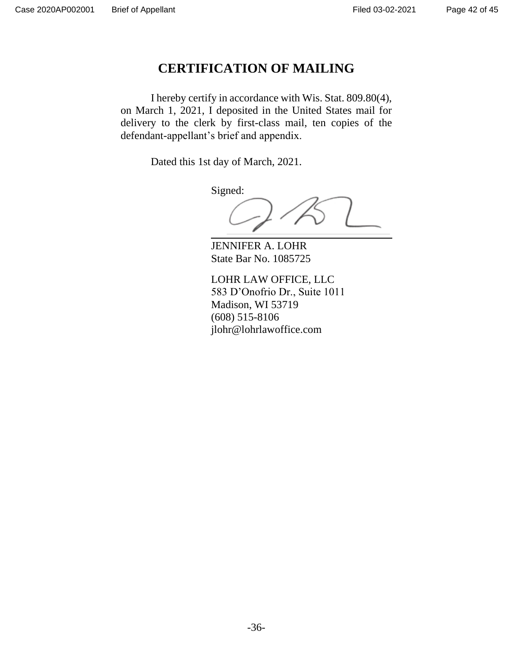# **CERTIFICATION OF MAILING**

I hereby certify in accordance with Wis. Stat. 809.80(4), on March 1, 2021, I deposited in the United States mail for delivery to the clerk by first-class mail, ten copies of the defendant-appellant's brief and appendix.

Dated this 1st day of March, 2021.

Signed:

JENNIFER A. LOHR State Bar No. 1085725

LOHR LAW OFFICE, LLC 583 D'Onofrio Dr., Suite 1011 Madison, WI 53719 (608) 515-8106 jlohr@lohrlawoffice.com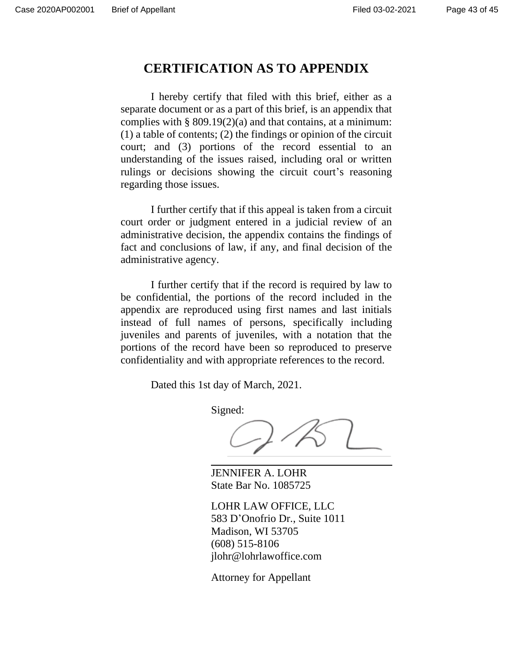# **CERTIFICATION AS TO APPENDIX**

I hereby certify that filed with this brief, either as a separate document or as a part of this brief, is an appendix that complies with  $\S 809.19(2)(a)$  and that contains, at a minimum: (1) a table of contents; (2) the findings or opinion of the circuit court; and (3) portions of the record essential to an understanding of the issues raised, including oral or written rulings or decisions showing the circuit court's reasoning regarding those issues.

I further certify that if this appeal is taken from a circuit court order or judgment entered in a judicial review of an administrative decision, the appendix contains the findings of fact and conclusions of law, if any, and final decision of the administrative agency.

I further certify that if the record is required by law to be confidential, the portions of the record included in the appendix are reproduced using first names and last initials instead of full names of persons, specifically including juveniles and parents of juveniles, with a notation that the portions of the record have been so reproduced to preserve confidentiality and with appropriate references to the record.

Dated this 1st day of March, 2021.

Signed:

JENNIFER A. LOHR State Bar No. 1085725

LOHR LAW OFFICE, LLC 583 D'Onofrio Dr., Suite 1011 Madison, WI 53705 (608) 515-8106 jlohr@lohrlawoffice.com

Attorney for Appellant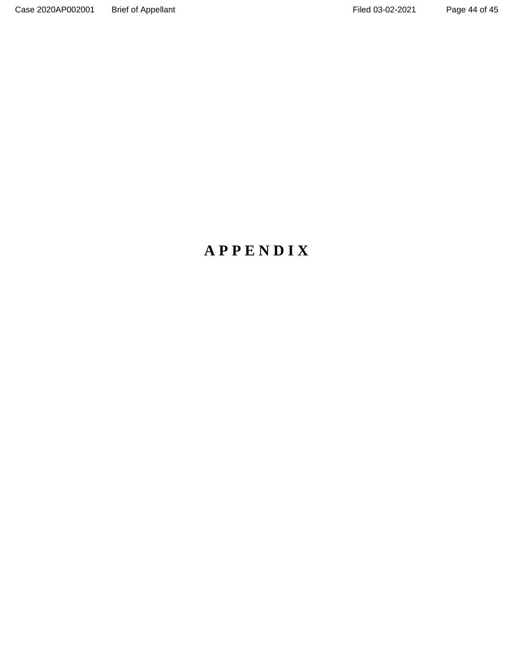# **A P P E N D I X**